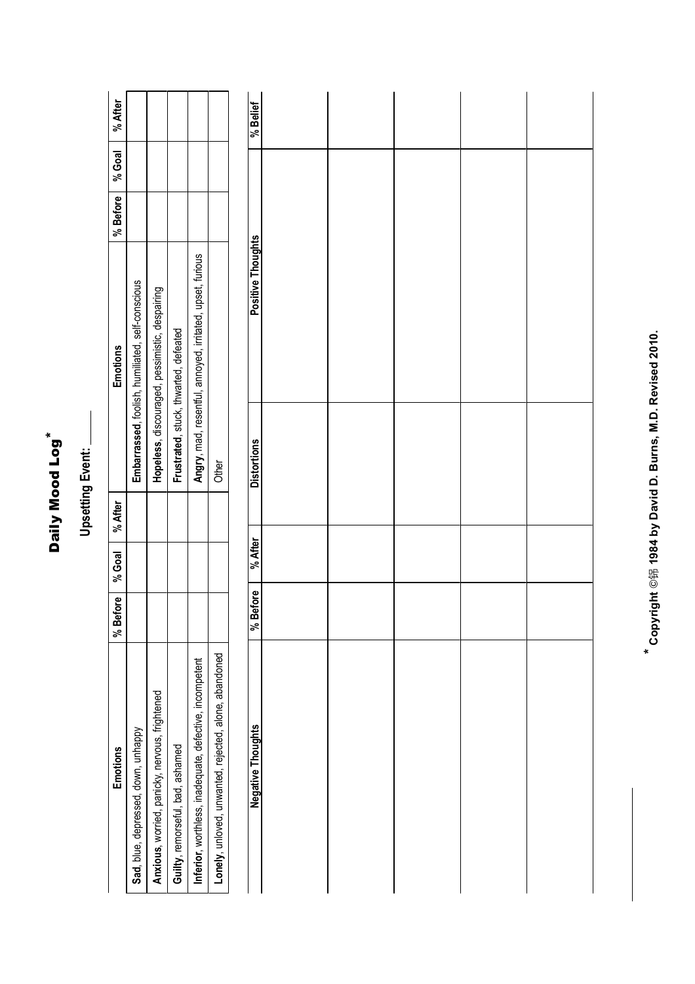| ĸ      |  |
|--------|--|
| ත      |  |
| о      |  |
| 5      |  |
| o<br>۴ |  |
|        |  |
|        |  |
|        |  |
|        |  |

## **Upsetting Event: Upsetting Event:**

| <b>Emotions</b>                                        | e<br>≌ | efore   % Goal   % After | <b>Emotions</b>                                           | % Before   % Goal   % After |  |
|--------------------------------------------------------|--------|--------------------------|-----------------------------------------------------------|-----------------------------|--|
| Sad, blue, depressed, down, unhappy                    |        |                          | Embarrassed, foolish, humiliated, self-conscious          |                             |  |
| Anxious, worried, panicky, nervous, frightened         |        |                          | Hopeless, discouraged, pessimistic, despairing            |                             |  |
| Guilty, remorseful, bad, ashamed                       |        |                          | Frustrated, stuck, thwarted, defeated                     |                             |  |
| nferior, worthless, inadequate, defective, incompetent |        |                          | Angry, mad, resentful, annoyed, irritated, upset, furious |                             |  |
| onely, unloved, unwanted, rejected, alone, abandoned   |        |                          | <b>Other</b>                                              |                             |  |
|                                                        |        |                          |                                                           |                             |  |

| <b>Distortions</b><br>% After |
|-------------------------------|
|                               |
|                               |
|                               |
|                               |
|                               |